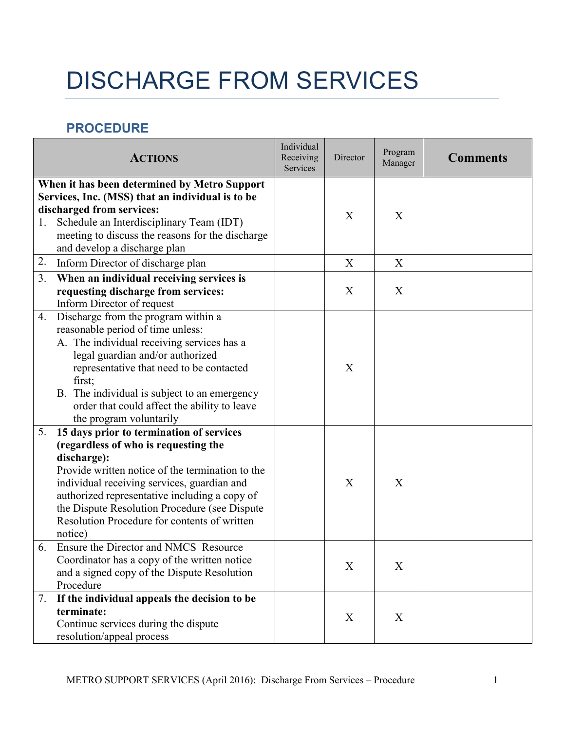## DISCHARGE FROM SERVICES

## **PROCEDURE**

|    | <b>ACTIONS</b>                                                                                                                                                                                                                                                                                                                                                                                                                                                                                             | Individual<br>Receiving<br>Services | Director | Program<br>Manager | <b>Comments</b> |
|----|------------------------------------------------------------------------------------------------------------------------------------------------------------------------------------------------------------------------------------------------------------------------------------------------------------------------------------------------------------------------------------------------------------------------------------------------------------------------------------------------------------|-------------------------------------|----------|--------------------|-----------------|
| 1. | When it has been determined by Metro Support<br>Services, Inc. (MSS) that an individual is to be<br>discharged from services:<br>Schedule an Interdisciplinary Team (IDT)<br>meeting to discuss the reasons for the discharge<br>and develop a discharge plan                                                                                                                                                                                                                                              |                                     | X        | X                  |                 |
| 2. | Inform Director of discharge plan                                                                                                                                                                                                                                                                                                                                                                                                                                                                          |                                     | X        | X                  |                 |
| 3. | When an individual receiving services is<br>requesting discharge from services:<br>Inform Director of request                                                                                                                                                                                                                                                                                                                                                                                              |                                     | X        | X                  |                 |
| 4. | Discharge from the program within a<br>reasonable period of time unless:<br>A. The individual receiving services has a<br>legal guardian and/or authorized<br>representative that need to be contacted<br>first;<br>B. The individual is subject to an emergency<br>order that could affect the ability to leave<br>the program voluntarily                                                                                                                                                                |                                     | X        |                    |                 |
| 5. | 15 days prior to termination of services<br>(regardless of who is requesting the<br>discharge):<br>Provide written notice of the termination to the<br>individual receiving services, guardian and<br>authorized representative including a copy of<br>the Dispute Resolution Procedure (see Dispute<br>Resolution Procedure for contents of written<br>notice)<br>6. Ensure the Director and NMCS Resource<br>Coordinator has a copy of the written notice<br>and a signed copy of the Dispute Resolution |                                     | X<br>X   | X<br>X             |                 |
| 7. | Procedure<br>If the individual appeals the decision to be<br>terminate:<br>Continue services during the dispute<br>resolution/appeal process                                                                                                                                                                                                                                                                                                                                                               |                                     | X        | X                  |                 |